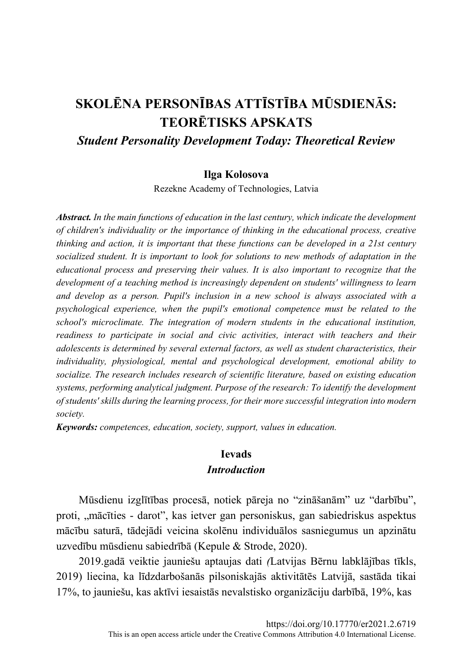# SKOLĒNA PERSONĪBAS ATTĪSTĪBA MŪSDIENĀS: **TEORĒTISKS APSKATS Student Personality Development Today: Theoretical Review**

#### Ilga Kolosova

Rezekne Academy of Technologies, Latvia

**Abstract.** In the main functions of education in the last century, which indicate the development of children's individuality or the importance of thinking in the educational process, creative thinking and action, it is important that these functions can be developed in a 21st century socialized student. It is important to look for solutions to new methods of adaptation in the educational process and preserving their values. It is also important to recognize that the development of a teaching method is increasingly dependent on students' willingness to learn and develop as a person. Pupil's inclusion in a new school is always associated with a psychological experience, when the pupil's emotional competence must be related to the school's microclimate. The integration of modern students in the educational institution, readiness to participate in social and civic activities, interact with teachers and their adolescents is determined by several external factors, as well as student characteristics, their individuality, physiological, mental and psychological development, emotional ability to socialize. The research includes research of scientific literature, based on existing education systems, performing analytical judgment. Purpose of the research: To identify the development of students' skills during the learning process, for their more successful integration into modern society.

**Keywords:** competences, education, society, support, values in education.

### **Ievads Introduction**

Mūsdienu izglītības procesā, notiek pāreja no "zināšanām" uz "darbību", proti, "mācīties - darot", kas ietver gan personiskus, gan sabiedriskus aspektus mācību saturā, tādejādi veicina skolēnu individuālos sasniegumus un apzinātu uzvedību mūsdienu sabiedrībā (Kepule & Strode, 2020).

2019.gadā veiktie jauniešu aptaujas dati (Latvijas Bērnu labklājības tīkls, 2019) liecina, ka līdzdarbošanās pilsoniskajās aktivitātēs Latvijā, sastāda tikai 17%, to jauniešu, kas aktīvi iesaistās nevalstisko organizāciju darbībā, 19%, kas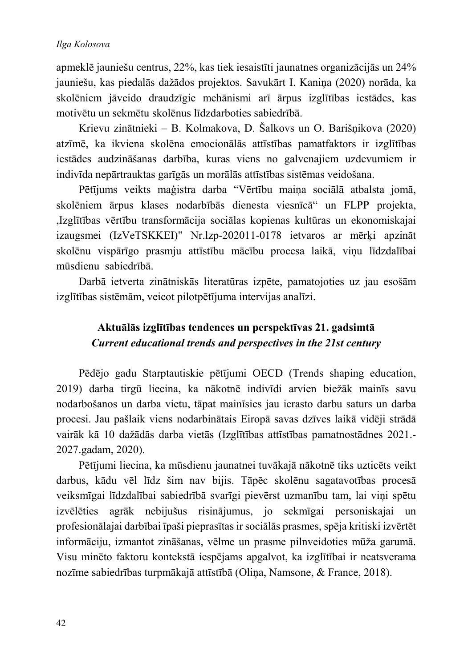apmeklē jauniešu centrus, 22%, kas tiek iesaistīti jaunatnes organizācijās un 24% jauniešu, kas piedalās dažādos projektos. Savukārt I. Kanina (2020) norāda, ka skolēniem jāveido draudzīgie mehānismi arī ārpus izglītības iestādes, kas motivētu un sekmētu skolēnus līdzdarboties sabiedrībā.

Krievu zinātnieki - B. Kolmakova, D. Šalkovs un O. Barišnikova (2020) atzīmē, ka ikviena skolēna emocionālās attīstības pamatfaktors ir izglītības iestādes audzināšanas darbība, kuras viens no galvenajiem uzdevumiem ir indivīda nepārtrauktas garīgās un morālās attīstības sistēmas veidošana.

Pētījums veikts maģistra darba "Vērtību maina sociālā atbalsta jomā, skolēniem ārpus klases nodarbībās dienesta viesnīcā" un FLPP projekta, ,Izglītības vērtību transformācija sociālas kopienas kultūras un ekonomiskajai izaugsmei (IzVeTSKKEI)" Nr.lzp-202011-0178 ietvaros ar mērķi apzināt skolēnu vispārīgo prasmju attīstību mācību procesa laikā, vinu līdzdalībai mūsdienu sabiedrībā.

Darbā ietverta zinātniskās literatūras izpēte, pamatojoties uz jau esošām izglītības sistēmām, veicot pilotpētījuma intervijas analīzi.

### Aktuālās izglītības tendences un perspektīvas 21. gadsimtā Current educational trends and perspectives in the 21st century

Pēdējo gadu Starptautiskie pētījumi OECD (Trends shaping education, 2019) darba tirgū liecina, ka nākotnē indivīdi arvien biežāk mainīs savu nodarbošanos un darba vietu, tāpat mainīsies jau ierasto darbu saturs un darba procesi. Jau pašlaik viens nodarbinātais Eiropā savas dzīves laikā vidēji strādā vairāk kā 10 dažādās darba vietās (Izglītības attīstības pamatnostādnes 2021.-2027.gadam, 2020).

Pētījumi liecina, ka mūsdienu jaunatnei tuvākajā nākotnē tiks uzticēts veikt darbus, kādu vēl līdz šim nav bijis. Tāpēc skolēnu sagatavotības procesā veiksmīgai līdzdalībai sabiedrībā svarīgi pievērst uzmanību tam, lai viņi spētu izvēlēties agrāk nebijušus risinājumus, jo sekmīgai personiskajai un profesionālajai darbībai īpaši pieprasītas ir sociālās prasmes, spēja kritiski izvērtēt informāciju, izmantot zināšanas, vēlme un prasme pilnveidoties mūža garumā. Visu minēto faktoru kontekstā iespējams apgalvot, ka izglītībai ir neatsverama nozīme sabiedrības turpmākajā attīstībā (Oliņa, Namsone, & France, 2018).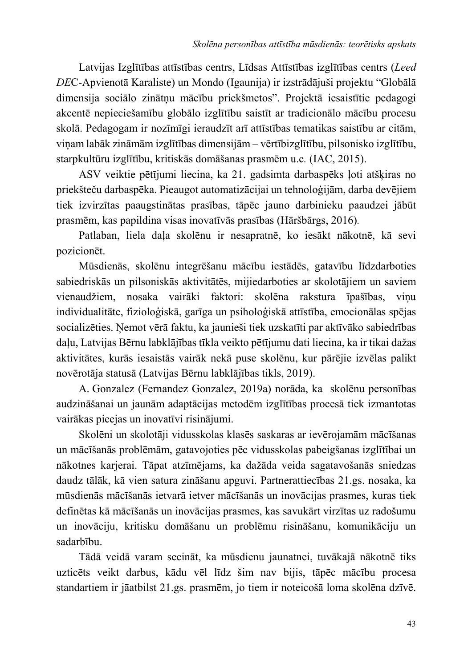Latvijas Izglītības attīstības centrs, Līdsas Attīstības izglītības centrs (Leed *DE*C-Apvienotā Karaliste) un Mondo (Igaunija) ir izstrādājuši projektu "Globālā dimensija sociālo zinātņu mācību priekšmetos". Projektā iesaistītie pedagogi akcentē nepieciešamību globālo izglītību saistīt ar tradicionālo mācību procesu skolā. Pedagogam ir nozīmīgi ieraudzīt arī attīstības tematikas saistību ar citām, viņam labāk zināmām izglītības dimensijām – vērtībizglītību, pilsonisko izglītību, starpkultūru izglītību, kritiskās domāšanas prasmēm u.c. (IAC, 2015).

ASV veiktie pētījumi liecina, ka 21. gadsimta darbaspēks ļoti atšķiras no priekšteču darbaspēka. Pieaugot automatizācijai un tehnoloģijām, darba devējiem tiek izvirzītas paaugstinātas prasības, tāpēc jauno darbinieku paaudzei jābūt prasmēm, kas papildina visas inovatīvās prasības (Hāršbārgs, 2016).

Patlaban, liela daļa skolēnu ir nesapratnē, ko iesākt nākotnē, kā sevi pozicionet.

Mūsdienās, skolēnu integrēšanu mācību iestādēs, gatavību līdzdarboties sabiedriskās un pilsoniskās aktivitātēs, mijiedarboties ar skolotājiem un saviem vienaudžiem, nosaka vairāki faktori: skolēna rakstura īpašības, vinu individualitāte, fizioloģiskā, garīga un psiholoģiskā attīstība, emocionālas spējas socializēties. Nemot vērā faktu, ka jaunieši tiek uzskatīti par aktīvāko sabiedrības daļu, Latvijas Bērnu labklājības tīkla veikto pētījumu dati liecina, ka ir tikai dažas aktivitātes, kurās iesaistās vairāk nekā puse skolēnu, kur pārējie izvēlas palikt novērotāja statusā (Latvijas Bērnu labklājības tikls, 2019).

A. Gonzalez (Fernandez Gonzalez, 2019a) norāda, ka skolēnu personības audzināšanai un jaunām adaptācijas metodēm izglītības procesā tiek izmantotas vairākas pieejas un inovatīvi risinājumi.

Skolēni un skolotāji vidusskolas klasēs saskaras ar ievērojamām mācīšanas un mācīšanās problēmām, gatavojoties pēc vidusskolas pabeigšanas izglītībai un nākotnes karjerai. Tāpat atzīmējams, ka dažāda veida sagatavošanās sniedzas daudz tālāk, kā vien satura zināšanu apguvi. Partnerattiecības 21.gs. nosaka, ka mūsdienās mācīšanās ietvarā ietver mācīšanās un inovācijas prasmes, kuras tiek definētas kā mācīšanās un inovācijas prasmes, kas savukārt virzītas uz radošumu un inovāciju, kritisku domāšanu un problēmu risināšanu, komunikāciju un sadarbību.

Tādā veidā varam secināt, ka mūsdienu jaunatnei, tuvākajā nākotnē tiks uzticēts veikt darbus, kādu vēl līdz šim nav bijis, tāpēc mācību procesa standartiem ir jāatbilst 21.gs. prasmēm, jo tiem ir noteicošā loma skolēna dzīvē.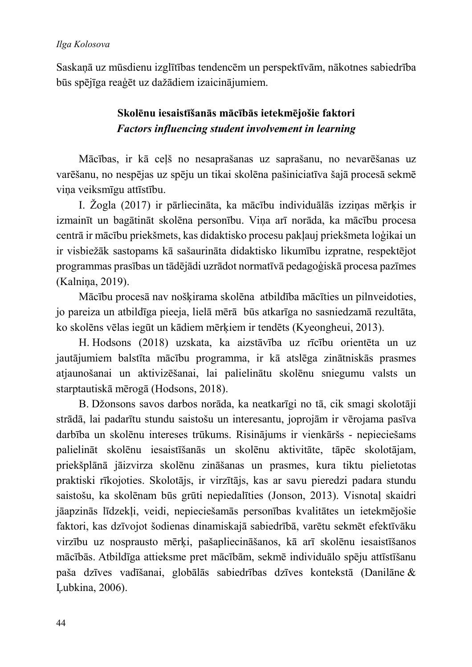### Ilga Kolosova

Saskaņā uz mūsdienu izglītības tendencēm un perspektīvām, nākotnes sabiedrība būs spējīga reaģēt uz dažādiem izaicinājumiem.

### Skolēnu iesaistīšanās mācībās ietekmējošie faktori Factors influencing student involvement in learning

Mācības, ir kā ceļš no nesaprašanas uz saprašanu, no nevarēšanas uz varēšanu, no nespējas uz spēju un tikai skolēna pašiniciatīva šajā procesā sekmē vina veiksmīgu attīstību.

I. Žogla (2017) ir pārliecināta, ka mācību individuālās izzinas mērķis ir izmainīt un bagātināt skolēna personību. Viņa arī norāda, ka mācību procesa centrā ir mācību priekšmets, kas didaktisko procesu pakļauj priekšmeta loģikai un ir visbiežāk sastopams kā sašaurināta didaktisko likumību izpratne, respektējot programmas prasības un tādējādi uzrādot normatīvā pedagoģiskā procesa pazīmes (Kalnina, 2019).

Mācību procesā nav nošķirama skolēna atbildība mācīties un pilnveidoties, jo pareiza un atbildīga pieeja, lielā mērā būs atkarīga no sasniedzamā rezultāta, ko skolēns vēlas iegūt un kādiem mērkiem ir tendēts (Kyeongheui, 2013).

H. Hodsons (2018) uzskata, ka aizstāvība uz rīcību orientēta un uz jautājumiem balstīta mācību programma, ir kā atslēga zinātniskās prasmes atjaunošanai un aktivizēšanai, lai palielinātu skolēnu sniegumu valsts un starptautiskā mērogā (Hodsons, 2018).

B. Džonsons savos darbos norāda, ka neatkarīgi no tā, cik smagi skolotāji strādā, lai padarītu stundu saistošu un interesantu, joprojām ir vērojama pasīva darbība un skolēnu intereses trūkums. Risinājums ir vienkāršs - nepieciešams palielināt skolēnu iesaistīšanās un skolēnu aktivitāte, tāpēc skolotājam, priekšplānā jāizvirza skolēnu zināšanas un prasmes, kura tiktu pielietotas praktiski rīkojoties. Skolotājs, ir virzītājs, kas ar savu pieredzi padara stundu saistošu, ka skolēnam būs grūti nepiedalīties (Jonson, 2013). Visnotaļ skaidri jāapzinās līdzekli, veidi, nepieciešamās personības kvalitātes un ietekmējošie faktori, kas dzīvojot šodienas dinamiskajā sabiedrībā, varētu sekmēt efektīvāku virzību uz nosprausto mērķi, pašapliecināšanos, kā arī skolēnu iesaistīšanos mācībās. Atbildīga attieksme pret mācībām, sekmē individuālo spēju attīstīšanu paša dzīves vadīšanai, globālās sabiedrības dzīves kontekstā (Danilāne & Lubkina, 2006).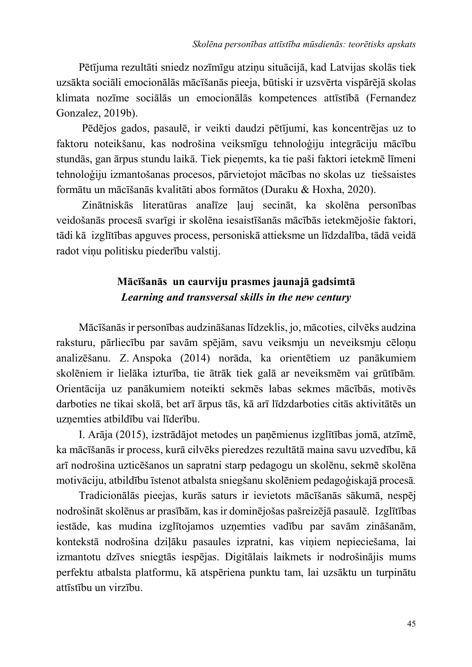Pētījuma rezultāti sniedz nozīmīgu atziņu situācijā, kad Latvijas skolās tiek uzsākta sociāli emocionālās mācīšanās pieeja, būtiski ir uzsvērta vispārējā skolas klimata nozīme sociālās un emocionālās kompetences attīstībā (Fernandez Gonzalez, 2019b).

Pēdējos gados, pasaulē, ir veikti daudzi pētījumi, kas koncentrējas uz to faktoru noteikšanu, kas nodrošina veiksmīgu tehnoloģiju integrāciju mācību stundās, gan ārpus stundu laikā. Tiek pieņemts, ka tie paši faktori ietekmē līmeni tehnoloģiju izmantošanas procesos, pārvietojot mācības no skolas uz tiešsaistes formātu un mācīšanās kvalitāti abos formātos (Duraku & Hoxha, 2020).

Zinātniskās literatūras analīze ļauj secināt, ka skolēna personības veidošanās procesā svarīgi ir skolēna iesaistīšanās mācībās ietekmējošie faktori, tādi kā izglītības apguves process, personiskā attieksme un līdzdalība, tādā veidā radot vinu politisku piederību valstij.

# Mācīšanās un caurviju prasmes jaunajā gadsimtā Learning and transversal skills in the new century

Mācīšanās ir personības audzināšanas līdzeklis, jo, mācoties, cilvēks audzina raksturu, pārliecību par savām spējām, savu veiksmju un neveiksmju cēloņu analizēšanu. Z. Anspoka (2014) norāda, ka orientētiem uz panākumiem skolēniem ir lielāka izturība, tie ātrāk tiek galā ar neveiksmēm vai grūtībām. Orientācija uz panākumiem noteikti sekmēs labas sekmes mācībās, motivēs darboties ne tikai skolā, bet arī ārpus tās, kā arī līdzdarboties citās aktivitātēs un uzņemties atbildību vai līderību.

I. Arāja (2015), izstrādājot metodes un paņēmienus izglītības jomā, atzīmē, ka mācīšanās ir process, kurā cilvēks pieredzes rezultātā maina savu uzvedību, kā arī nodrošina uzticēšanos un sapratni starp pedagogu un skolēnu, sekmē skolēna motivāciju, atbildību īstenot atbalsta sniegšanu skolēniem pedagoģiskajā procesā.

Tradicionālās pieejas, kurās saturs ir ievietots mācīšanās sākumā, nespēj nodrošināt skolēnus ar prasībām, kas ir dominējošas pašreizējā pasaulē. Izglītības iestāde, kas mudina izglītojamos uzņemties vadību par savām zināšanām, kontekstā nodrošina dziļāku pasaules izpratni, kas viņiem nepieciešama, lai izmantotu dzīves sniegtās iespējas. Digitālais laikmets ir nodrošinājis mums perfektu atbalsta platformu, kā atspēriena punktu tam, lai uzsāktu un turpinātu attīstību un virzību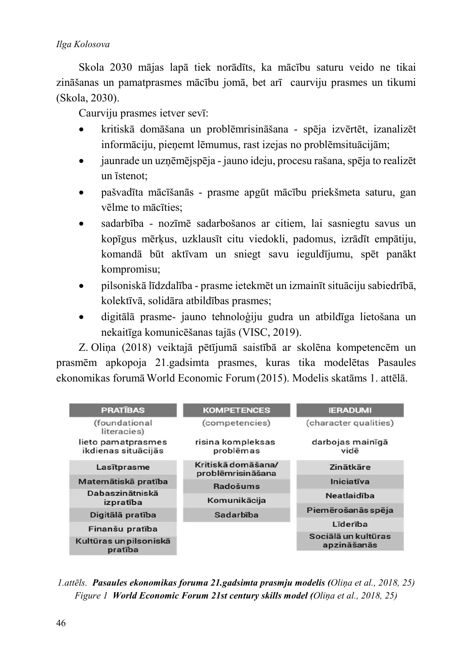### Ilga Kolosova

Skola 2030 mājas lapā tiek norādīts, ka mācību saturu veido ne tikai zināšanas un pamatprasmes mācību jomā, bet arī caurviju prasmes un tikumi (Skola, 2030).

Caurviju prasmes ietver sevī:

- kritiskā domāšana un problēmrisināšana spēja izvērtēt, izanalizēt informāciju, pieņemt lēmumus, rast izejas no problēmsituācijām;
- jaunrade un uzņēmējspēja jauno ideju, procesu rašana, spēja to realizēt un *istenot*:
- pašvadīta mācīšanās prasme apgūt mācību priekšmeta saturu, gan vēlme to mācīties:
- sadarbība nozīmē sadarbošanos ar citiem, lai sasniegtu savus un kopīgus mērkus, uzklausīt citu viedokli, padomus, izrādīt empātiju, komandā būt aktīvam un sniegt savu ieguldījumu, spēt panākt kompromisu;
- pilsoniskā līdzdalība prasme ietekmēt un izmainīt situāciju sabiedrībā, kolektīvā, solidāra atbildības prasmes;
- digitālā prasme- jauno tehnoloģiju gudra un atbildīga lietošana un nekaitīga komunicēšanas tajās (VISC, 2019).

Z. Oliņa (2018) veiktajā pētījumā saistībā ar skolēna kompetencēm un prasmēm apkopoja 21.gadsimta prasmes, kuras tika modelētas Pasaules ekonomikas forumā World Economic Forum (2015). Modelis skatāms 1. attēlā.



1. attēls. Pasaules ekonomikas foruma 21. gadsimta prasmju modelis (Olina et al., 2018, 25) Figure 1 World Economic Forum 21st century skills model (Olina et al., 2018, 25)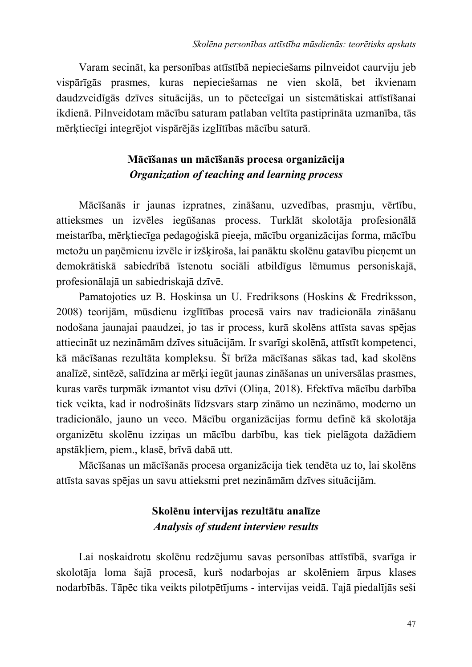Varam secināt, ka personības attīstībā nepieciešams pilnveidot caurviju jeb vispārīgās prasmes, kuras nepieciešamas ne vien skolā, bet ikvienam daudzveidīgās dzīves situācijās, un to pēctecīgai un sistemātiskai attīstīšanai ikdienā. Pilnveidotam mācību saturam patlaban veltīta pastiprināta uzmanība, tās mērktiecīgi integrējot vispārējās izglītības mācību saturā.

### Mācīšanas un mācīšanās procesa organizācija Organization of teaching and learning process

Mācīšanās ir jaunas izpratnes, zināšanu, uzvedības, prasmju, vērtību, attieksmes un izvēles iegūšanas process. Turklāt skolotāja profesionālā meistarība, mērķtiecīga pedagoģiskā pieeja, mācību organizācijas forma, mācību metožu un panēmienu izvēle ir izškiroša, lai panāktu skolēnu gatavību pienemt un demokrātiskā sabiedrībā īstenotu sociāli atbildīgus lēmumus personiskajā, profesionālajā un sabiedriskajā dzīvē.

Pamatojoties uz B. Hoskinsa un U. Fredriksons (Hoskins & Fredriksson, 2008) teorijām, mūsdienu izglītības procesā vairs nav tradicionāla zināšanu nodošana jaunajai paaudzei, jo tas ir process, kurā skolēns attīsta savas spējas attiecināt uz nezināmām dzīves situācijām. Ir svarīgi skolēnā, attīstīt kompetenci, kā mācīšanas rezultāta kompleksu. Šī brīža mācīšanas sākas tad, kad skolēns analīzē, sintēzē, salīdzina ar mērķi iegūt jaunas zināšanas un universālas prasmes, kuras varēs turpmāk izmantot visu dzīvi (Olina, 2018). Efektīva mācību darbība tiek veikta, kad ir nodrošināts līdzsvars starp zināmo un nezināmo, moderno un tradicionālo, jauno un veco. Mācību organizācijas formu definē kā skolotāja organizētu skolēnu izziņas un mācību darbību, kas tiek pielāgota dažādiem apstākliem, piem., klasē, brīvā dabā utt.

Mācīšanas un mācīšanās procesa organizācija tiek tendēta uz to, lai skolēns attīsta savas spējas un savu attieksmi pret nezināmām dzīves situācijām.

# Skolēnu intervijas rezultātu analīze **Analysis of student interview results**

Lai noskaidrotu skolēnu redzējumu savas personības attīstībā, svarīga ir skolotāja loma šajā procesā, kurš nodarbojas ar skolēniem ārpus klases nodarbībās. Tāpēc tika veikts pilotpētījums - intervijas veidā. Tajā piedalījās seši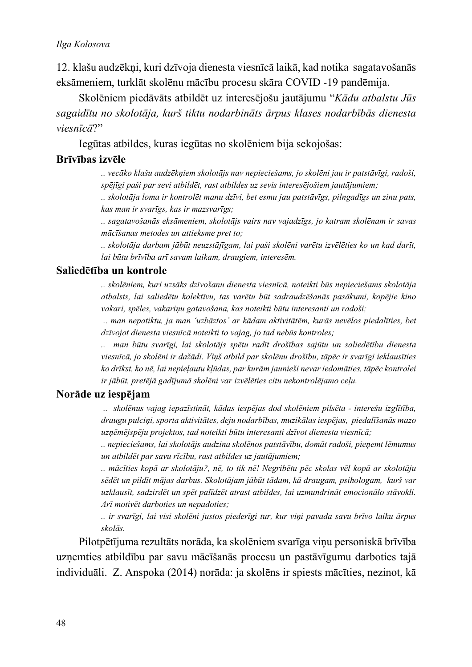#### Ilga Kolosova

12. klašu audzēkņi, kuri dzīvoja dienesta viesnīcā laikā, kad notika sagatavošanās eksāmeniem, turklāt skolēnu mācību procesu skāra COVID-19 pandēmija.

Skolēniem piedāvāts atbildēt uz interesējošu jautājumu "Kādu atbalstu Jūs sagaidītu no skolotāja, kurš tiktu nodarbināts ārpus klases nodarbībās dienesta  $viesn\bar{t}c\bar{a}$ ?"

Iegūtas atbildes, kuras iegūtas no skolēniem bija sekojošas:

### Brīvības izvēle

.. vecāko klašu audzēkņiem skolotājs nav nepieciešams, jo skolēni jau ir patstāvīgi, radoši, spējīgi paši par sevi atbildēt, rast atbildes uz sevis interesējošiem jautājumiem;

.. skolotāja loma ir kontrolēt manu dzīvi, bet esmu jau patstāvīgs, pilngadīgs un zinu pats, kas man ir svarīgs, kas ir mazsvarīgs;

.. sagatavošanās eksāmeniem, skolotājs vairs nav vajadzīgs, jo katram skolēnam ir savas mācīšanas metodes un attieksme pret to;

.. skolotāja darbam jābūt neuzstājīgam, lai paši skolēni varētu izvēlēties ko un kad darīt, lai būtu brīvība arī savam laikam, draugiem, interesēm,

### Saliedētība un kontrole

.. skolēniem, kuri uzsāks dzīvošanu dienesta viesnīcā, noteikti būs nepieciešams skolotāja atbalsts, lai saliedētu kolektīvu, tas varētu būt sadraudzēšanās pasākumi, kopējie kino vakari, spēles, vakariņu gatavošana, kas noteikti būtu interesanti un radoši;

.. man nepatiktu, ja man 'uzbāztos' ar kādam aktivitātēm, kurās nevēlos piedalīties, bet dzīvojot dienesta viesnīcā noteikti to vajag, jo tad nebūs kontroles;

.. man būtu svarīgi, lai skolotājs spētu radīt drošības sajūtu un saliedētību dienesta viesnīcā, jo skolēni ir dažādi. Viņš atbild par skolēnu drošību, tāpēc ir svarīgi ieklausīties ko drīkst, ko nē, lai nepieļautu kļūdas, par kurām jaunieši nevar iedomāties, tāpēc kontrolei ir jābūt, pretējā gadījumā skolēni var izvēlēties citu nekontrolējamo ceļu.

### Norāde uz iespējam

.. skolēnus vajag iepazīstināt, kādas iespējas dod skolēniem pilsēta - interešu izglītība, draugu pulciņi, sporta aktivitātes, deju nodarbības, muzikālas iespējas, piedalīšanās mazo uzņēmējspēju projektos, tad noteikti būtu interesanti dzīvot dienesta viesnīcā;

.. nepieciešams, lai skolotājs audzina skolēnos patstāvību, domāt radoši, pieņemt lēmumus un atbildēt par savu rīcību, rast atbildes uz jautājumiem;

.. mācīties kopā ar skolotāju?, nē, to tik nē! Negribētu pēc skolas vēl kopā ar skolotāju sēdēt un pildīt mājas darbus. Skolotājam jābūt tādam, kā draugam, psihologam, kurš var uzklausīt, sadzirdēt un spēt palīdzēt atrast atbildes, lai uzmundrināt emocionālo stāvokli. Arī motivēt darboties un nepadoties;

.. ir svarīgi, lai visi skolēni justos piederīgi tur, kur viņi pavada savu brīvo laiku ārpus skolās.

Pilotpētījuma rezultāts norāda, ka skolēniem svarīga viņu personiskā brīvība uzņemties atbildību par savu mācīšanās procesu un pastāvīgumu darboties tajā individuāli. Z. Anspoka (2014) norāda: ja skolēns ir spiests mācīties, nezinot, kā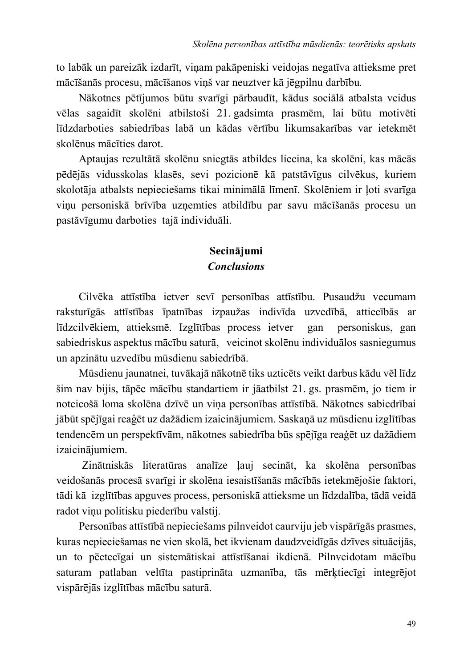to labāk un pareizāk izdarīt, viņam pakāpeniski veidojas negatīva attieksme pret mācīšanās procesu, mācīšanos viņš var neuztver kā jēgpilnu darbību.

Nākotnes pētījumos būtu svarīgi pārbaudīt, kādus sociālā atbalsta veidus vēlas sagaidīt skolēni atbilstoši 21. gadsimta prasmēm, lai būtu motivēti līdzdarboties sabiedrības labā un kādas vērtību likumsakarības var ietekmēt skolēnus mācīties darot.

Aptaujas rezultātā skolēnu sniegtās atbildes liecina, ka skolēni, kas mācās pēdējās vidusskolas klasēs, sevi pozicionē kā patstāvīgus cilvēkus, kuriem skolotāja atbalsts nepieciešams tikai minimālā līmenī. Skolēniem ir loti svarīga viņu personiskā brīvība uzņemties atbildību par savu mācīšanās procesu un pastāvīgumu darboties tajā individuāli.

## Secinājumi **Conclusions**

Cilvēka attīstība ietver sevī personības attīstību. Pusaudžu vecumam raksturīgās attīstības īpatnības izpaužas indivīda uzvedībā, attiecībās ar līdzcilvēkiem, attieksmē. Izglītības process ietver gan personiskus, gan sabiedriskus aspektus mācību saturā, veicinot skolēnu individuālos sasniegumus un apzinātu uzvedību mūsdienu sabiedrībā.

Mūsdienu jaunatnei, tuvākajā nākotnē tiks uzticēts veikt darbus kādu vēl līdz šim nav bijis, tāpēc mācību standartiem ir jāatbilst 21. gs. prasmēm, jo tiem ir noteicošā loma skolēna dzīvē un viņa personības attīstībā. Nākotnes sabiedrībai jābūt spējīgai reaģēt uz dažādiem izaicinājumiem. Saskaņā uz mūsdienu izglītības tendencēm un perspektīvām, nākotnes sabiedrība būs spējīga reaģēt uz dažādiem izaicinājumiem.

Zinātniskās literatūras analīze ļauj secināt, ka skolēna personības veidošanās procesā svarīgi ir skolēna iesaistīšanās mācībās ietekmējošie faktori, tādi kā izglītības apguves process, personiskā attieksme un līdzdalība, tādā veidā radot vinu politisku piederību valstij.

Personības attīstībā nepieciešams pilnveidot caurviju jeb vispārīgās prasmes, kuras nepieciešamas ne vien skolā, bet ikvienam daudzveidīgās dzīves situācijās, un to pēctecīgai un sistemātiskai attīstīšanai ikdienā. Pilnveidotam mācību saturam patlaban veltīta pastiprināta uzmanība, tās mērķtiecīgi integrējot vispārējās izglītības mācību saturā.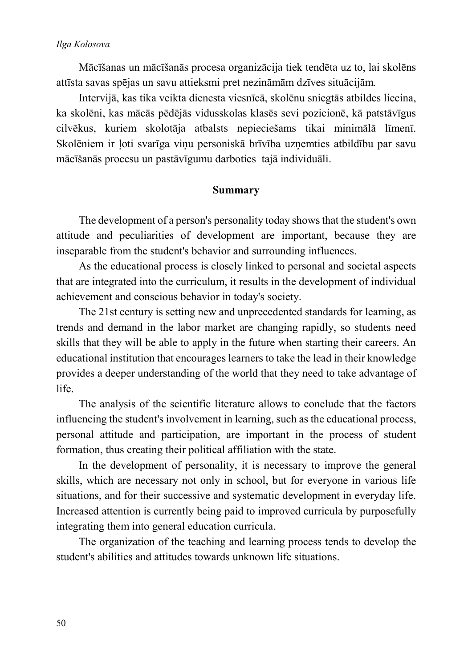Mācīšanas un mācīšanās procesa organizācija tiek tendēta uz to, lai skolēns attīsta savas spējas un savu attieksmi pret nezināmām dzīves situācijām.

Intervijā, kas tika veikta dienesta viesnīcā, skolēnu sniegtās atbildes liecina, ka skolēni, kas mācās pēdējās vidusskolas klasēs sevi pozicionē, kā patstāvīgus cilvēkus, kuriem skolotāja atbalsts nepieciešams tikai minimālā līmenī. Skolēniem ir ļoti svarīga viņu personiskā brīvība uzņemties atbildību par savu mācīšanās procesu un pastāvīgumu darboties tajā individuāli.

### **Summary**

The development of a person's personality today shows that the student's own attitude and peculiarities of development are important, because they are inseparable from the student's behavior and surrounding influences.

As the educational process is closely linked to personal and societal aspects that are integrated into the curriculum, it results in the development of individual achievement and conscious behavior in today's society.

The 21st century is setting new and unprecedented standards for learning, as trends and demand in the labor market are changing rapidly, so students need skills that they will be able to apply in the future when starting their careers. An educational institution that encourages learners to take the lead in their knowledge provides a deeper understanding of the world that they need to take advantage of life

The analysis of the scientific literature allows to conclude that the factors influencing the student's involvement in learning, such as the educational process, personal attitude and participation, are important in the process of student formation, thus creating their political affiliation with the state.

In the development of personality, it is necessary to improve the general skills, which are necessary not only in school, but for everyone in various life situations, and for their successive and systematic development in everyday life. Increased attention is currently being paid to improved curricula by purposefully integrating them into general education curricula.

The organization of the teaching and learning process tends to develop the student's abilities and attitudes towards unknown life situations.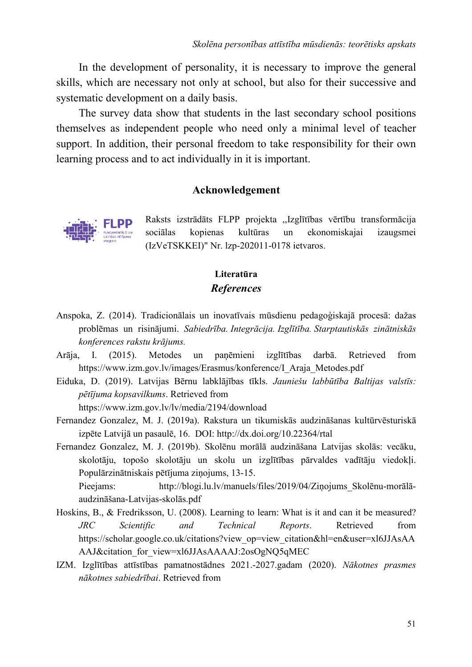In the development of personality, it is necessary to improve the general skills, which are necessary not only at school, but also for their successive and systematic development on a daily basis.

The survey data show that students in the last secondary school positions themselves as independent people who need only a minimal level of teacher support. In addition, their personal freedom to take responsibility for their own learning process and to act individually in it is important.

### Acknowledgement



Raksts izstrādāts FLPP projekta "Izglītības vērtību transformācija sociālas kopienas kultūras  $un$ ekonomiskajai izaugsmei (IzVeTSKKEI)" Nr. 1zp-202011-0178 ietvaros.

### Literatūra **References**

- Anspoka, Z. (2014). Tradicionālais un inovatīvais mūsdienu pedagoģiskajā procesā: dažas problēmas un risinājumi. Sabiedrība. Integrācija. Izglītība. Starptautiskās zinātniskās konferences rakstu krājums.
- Arāja,  $\mathbf{I}$ .  $(2015).$ Metodes un izglītības panēmieni darbā. Retrieved from https://www.izm.gov.lv/images/Erasmus/konference/I Araja Metodes.pdf
- Eiduka, D. (2019). Latvijas Bērnu labklājības tīkls. Jauniešu labbūtība Baltijas valstīs: pētījuma kopsavilkums. Retrieved from

https://www.izm.gov.lv/lv/media/2194/download

- Fernandez Gonzalez, M. J. (2019a). Rakstura un tikumiskās audzināšanas kultūrvēsturiskā izpēte Latvijā un pasaulē, 16. DOI: http://dx.doi.org/10.22364/rtal
- Fernandez Gonzalez, M. J. (2019b). Skolēnu morālā audzināšana Latvijas skolās: vecāku, skolotāju, topošo skolotāju un skolu un izglītības pārvaldes vadītāju viedokli. Populārzinātniskais pētījuma zinojums, 13-15.

http://blogi.lu.lv/manuels/files/2019/04/Zinojums Skolēnu-morālā-Pieejams: audzināšana-Latvijas-skolās.pdf

- Hoskins, B., & Fredriksson, U. (2008). Learning to learn: What is it and can it be measured?  $JRC$ Scientific and Technical Reports. Retrieved from https://scholar.google.co.uk/citations?view op=view citation&hl=en&user=xl6JJAsAA AAJ&citation for view=xl6JJAsAAAAJ:2osOgNQ5qMEC
- IZM. Izglītības attīstības pamatnostādnes 2021.-2027.gadam (2020). Nākotnes prasmes nākotnes sabiedrībai. Retrieved from